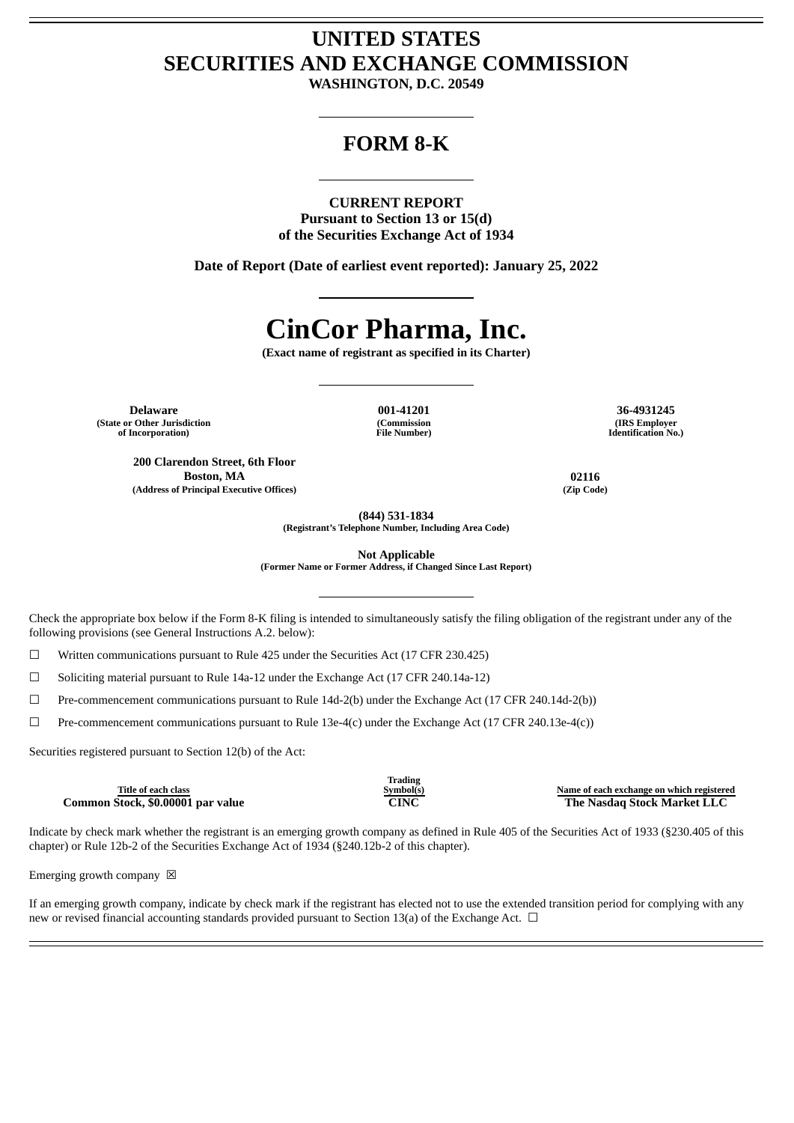## **UNITED STATES SECURITIES AND EXCHANGE COMMISSION**

**WASHINGTON, D.C. 20549**

### **FORM 8-K**

### **CURRENT REPORT**

**Pursuant to Section 13 or 15(d) of the Securities Exchange Act of 1934**

**Date of Report (Date of earliest event reported): January 25, 2022**

# **CinCor Pharma, Inc.**

**(Exact name of registrant as specified in its Charter)**

**Delaware 001-41201 36-4931245 (State or Other Jurisdiction of Incorporation)**

**200 Clarendon Street, 6th Floor**

**(Address of Principal Executive Offices) (Zip Code)**

**(Commission File Number)**

**(IRS Employer Identification No.)**

**Boston, MA 02116**

**(844) 531-1834**

**(Registrant's Telephone Number, Including Area Code)**

**Not Applicable**

**(Former Name or Former Address, if Changed Since Last Report)**

Check the appropriate box below if the Form 8-K filing is intended to simultaneously satisfy the filing obligation of the registrant under any of the following provisions (see General Instructions A.2. below):

 $\Box$  Written communications pursuant to Rule 425 under the Securities Act (17 CFR 230.425)

☐ Soliciting material pursuant to Rule 14a-12 under the Exchange Act (17 CFR 240.14a-12)

 $\Box$  Pre-commencement communications pursuant to Rule 14d-2(b) under the Exchange Act (17 CFR 240.14d-2(b))

 $\Box$  Pre-commencement communications pursuant to Rule 13e-4(c) under the Exchange Act (17 CFR 240.13e-4(c))

Securities registered pursuant to Section 12(b) of the Act:

**Title of each class Common Stock, \$0.00001 par value CINC The Nasdaq Stock Market LLC**

Indicate by check mark whether the registrant is an emerging growth company as defined in Rule 405 of the Securities Act of 1933 (§230.405 of this chapter) or Rule 12b-2 of the Securities Exchange Act of 1934 (§240.12b-2 of this chapter).

Emerging growth company  $\boxtimes$ 

If an emerging growth company, indicate by check mark if the registrant has elected not to use the extended transition period for complying with any new or revised financial accounting standards provided pursuant to Section 13(a) of the Exchange Act.  $\Box$ 

**Trading**

**Symbol(s) Name of each exchange on which registered**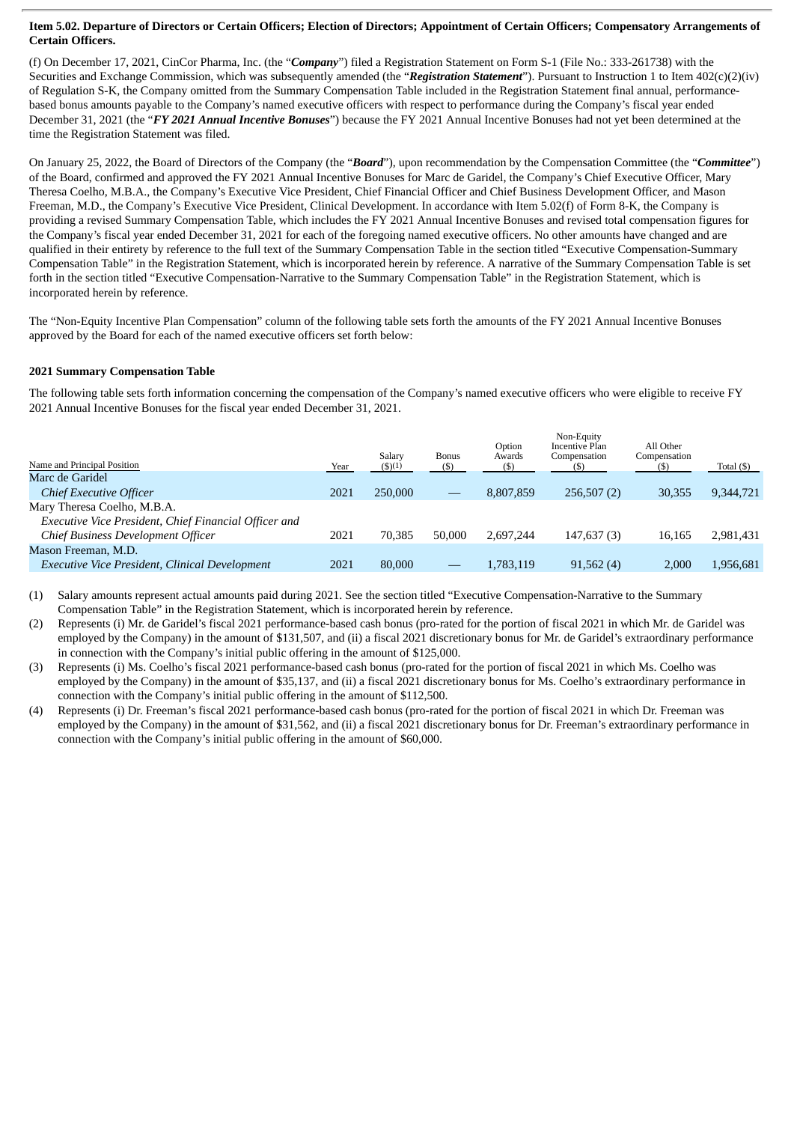#### Item 5.02. Departure of Directors or Certain Officers; Election of Directors; Appointment of Certain Officers; Compensatory Arrangements of **Certain Officers.**

(f) On December 17, 2021, CinCor Pharma, Inc. (the "*Company*") filed a Registration Statement on Form S-1 (File No.: 333-261738) with the Securities and Exchange Commission, which was subsequently amended (the "*Registration Statement*"). Pursuant to Instruction 1 to Item 402(c)(2)(iv) of Regulation S-K, the Company omitted from the Summary Compensation Table included in the Registration Statement final annual, performancebased bonus amounts payable to the Company's named executive officers with respect to performance during the Company's fiscal year ended December 31, 2021 (the "*FY 2021 Annual Incentive Bonuses*") because the FY 2021 Annual Incentive Bonuses had not yet been determined at the time the Registration Statement was filed.

On January 25, 2022, the Board of Directors of the Company (the "*Board*"), upon recommendation by the Compensation Committee (the "*Committee*") of the Board, confirmed and approved the FY 2021 Annual Incentive Bonuses for Marc de Garidel, the Company's Chief Executive Officer, Mary Theresa Coelho, M.B.A., the Company's Executive Vice President, Chief Financial Officer and Chief Business Development Officer, and Mason Freeman, M.D., the Company's Executive Vice President, Clinical Development. In accordance with Item 5.02(f) of Form 8-K, the Company is providing a revised Summary Compensation Table, which includes the FY 2021 Annual Incentive Bonuses and revised total compensation figures for the Company's fiscal year ended December 31, 2021 for each of the foregoing named executive officers. No other amounts have changed and are qualified in their entirety by reference to the full text of the Summary Compensation Table in the section titled "Executive Compensation-Summary Compensation Table" in the Registration Statement, which is incorporated herein by reference. A narrative of the Summary Compensation Table is set forth in the section titled "Executive Compensation-Narrative to the Summary Compensation Table" in the Registration Statement, which is incorporated herein by reference.

The "Non-Equity Incentive Plan Compensation" column of the following table sets forth the amounts of the FY 2021 Annual Incentive Bonuses approved by the Board for each of the named executive officers set forth below:

### **2021 Summary Compensation Table**

The following table sets forth information concerning the compensation of the Company's named executive officers who were eligible to receive FY 2021 Annual Incentive Bonuses for the fiscal year ended December 31, 2021.

| Name and Principal Position                           | Year | Salary<br>$($ \$ $)(1)$ | <b>Bonus</b><br>(S) | Option<br>Awards<br>(5) | Non-Equity<br><b>Incentive Plan</b><br>Compensation<br>(S) | All Other<br>Compensation<br>(\$) | Total $($ ) |
|-------------------------------------------------------|------|-------------------------|---------------------|-------------------------|------------------------------------------------------------|-----------------------------------|-------------|
| Marc de Garidel                                       |      |                         |                     |                         |                                                            |                                   |             |
| Chief Executive Officer                               | 2021 | 250,000                 |                     | 8,807,859               | 256,507(2)                                                 | 30,355                            | 9,344,721   |
| Mary Theresa Coelho, M.B.A.                           |      |                         |                     |                         |                                                            |                                   |             |
| Executive Vice President, Chief Financial Officer and |      |                         |                     |                         |                                                            |                                   |             |
| Chief Business Development Officer                    | 2021 | 70.385                  | 50,000              | 2.697.244               | 147,637(3)                                                 | 16,165                            | 2,981,431   |
| Mason Freeman, M.D.                                   |      |                         |                     |                         |                                                            |                                   |             |
| Executive Vice President, Clinical Development        | 2021 | 80,000                  |                     | 1,783,119               | 91,562(4)                                                  | 2,000                             | 1,956,681   |
|                                                       |      |                         |                     |                         |                                                            |                                   |             |

(1) Salary amounts represent actual amounts paid during 2021. See the section titled "Executive Compensation-Narrative to the Summary Compensation Table" in the Registration Statement, which is incorporated herein by reference.

(2) Represents (i) Mr. de Garidel's fiscal 2021 performance-based cash bonus (pro-rated for the portion of fiscal 2021 in which Mr. de Garidel was employed by the Company) in the amount of \$131,507, and (ii) a fiscal 2021 discretionary bonus for Mr. de Garidel's extraordinary performance in connection with the Company's initial public offering in the amount of \$125,000.

(3) Represents (i) Ms. Coelho's fiscal 2021 performance-based cash bonus (pro-rated for the portion of fiscal 2021 in which Ms. Coelho was employed by the Company) in the amount of \$35,137, and (ii) a fiscal 2021 discretionary bonus for Ms. Coelho's extraordinary performance in connection with the Company's initial public offering in the amount of \$112,500.

(4) Represents (i) Dr. Freeman's fiscal 2021 performance-based cash bonus (pro-rated for the portion of fiscal 2021 in which Dr. Freeman was employed by the Company) in the amount of \$31,562, and (ii) a fiscal 2021 discretionary bonus for Dr. Freeman's extraordinary performance in connection with the Company's initial public offering in the amount of \$60,000.